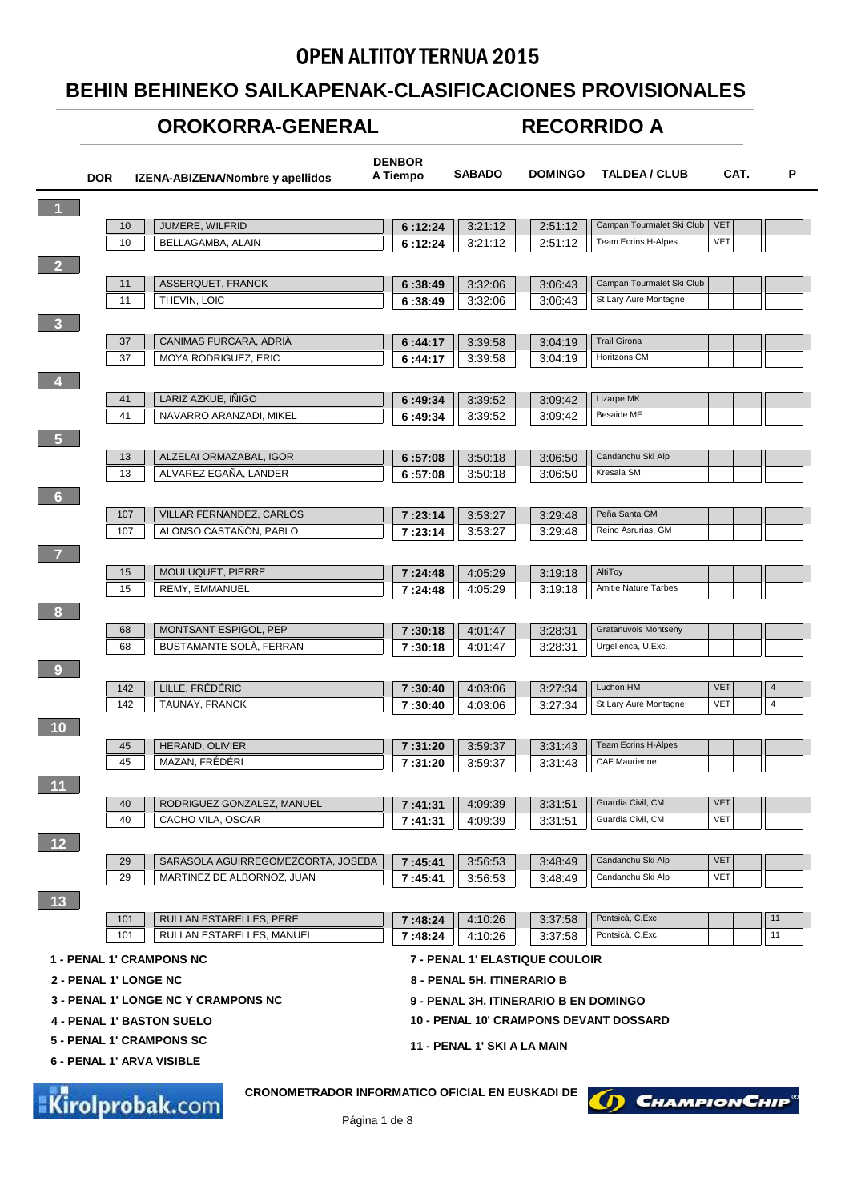## OPEN ALTITOY TERNUA 2015

## **BEHIN BEHINEKO SAILKAPENAK-CLASIFICACIONES PROVISIONALES**

## **OROKORRA-GENERAL**

## **RECORRIDO A**

|                      | <b>DOR</b>            |          | IZENA-ABIZENA/Nombre y apellidos                                                 | <b>DENBOR</b><br>A Tiempo | <b>SABADO</b>               | <b>DOMINGO</b>                        | <b>TALDEA / CLUB</b>                          | CAT.       | P              |
|----------------------|-----------------------|----------|----------------------------------------------------------------------------------|---------------------------|-----------------------------|---------------------------------------|-----------------------------------------------|------------|----------------|
| $\blacktriangleleft$ |                       |          |                                                                                  |                           |                             |                                       |                                               |            |                |
|                      |                       | 10       | JUMERE, WILFRID                                                                  | 6:12:24                   | 3:21:12                     | 2:51:12                               | Campan Tourmalet Ski Club                     | <b>VET</b> |                |
|                      |                       | 10       | BELLAGAMBA, ALAIN                                                                | 6:12:24                   | 3.21:12                     | 2:51:12                               | Team Ecrins H-Alpes                           | <b>VET</b> |                |
| $\overline{2}$       |                       |          |                                                                                  |                           |                             |                                       |                                               |            |                |
|                      |                       | 11       | ASSERQUET, FRANCK                                                                | 6:38:49                   | 3:32:06                     | 3:06:43                               | Campan Tourmalet Ski Club                     |            |                |
|                      |                       | 11       | THEVIN, LOIC                                                                     | 6:38:49                   | 3:32:06                     | 3:06:43                               | St Lary Aure Montagne                         |            |                |
| $\overline{3}$       |                       |          |                                                                                  |                           |                             |                                       |                                               |            |                |
|                      |                       | 37       | CANIMAS FURCARA, ADRIA                                                           | 6:44:17                   | 3:39:58                     | 3:04:19                               | <b>Trail Girona</b>                           |            |                |
|                      |                       | 37       | <b>MOYA RODRIGUEZ, ERIC</b>                                                      | 6:44:17                   | 3:39:58                     | 3:04:19                               | Horitzons CM                                  |            |                |
| $\bullet$            |                       |          |                                                                                  |                           |                             |                                       |                                               |            |                |
|                      |                       | 41       | LARIZ AZKUE, IÑIGO                                                               | 6:49:34                   | 3:39:52                     | 3:09:42                               | Lizarpe MK                                    |            |                |
|                      |                       | 41       | NAVARRO ARANZADI, MIKEL                                                          | 6:49:34                   | 3:39:52                     | 3:09:42                               | <b>Besaide ME</b>                             |            |                |
| $\overline{5}$       |                       |          |                                                                                  |                           |                             |                                       |                                               |            |                |
|                      |                       | 13       | ALZELAI ORMAZABAL. IGOR                                                          | 6:57:08                   | 3:50:18                     | 3:06:50                               | Candanchu Ski Alp                             |            |                |
|                      |                       | 13       | ALVAREZ EGANA, LANDER                                                            | 6:57:08                   | 3:50:18                     | 3:06:50                               | Kresala SM                                    |            |                |
| $6\phantom{1}$       |                       |          |                                                                                  |                           |                             |                                       |                                               |            |                |
|                      |                       | 107      | VILLAR FERNANDEZ, CARLOS                                                         | 7:23:14                   | 3:53:27                     | 3:29:48                               | Peña Santa GM                                 |            |                |
|                      |                       | 107      | ALONSO CASTAÑÓN, PABLO                                                           | 7:23:14                   | 3:53:27                     | 3:29:48                               | Reino Asrurias, GM                            |            |                |
| $\overline{7}$       |                       |          |                                                                                  |                           |                             |                                       |                                               |            |                |
|                      |                       | 15<br>15 | MOULUQUET, PIERRE<br>REMY, EMMANUEL                                              | 7:24:48                   | 4:05:29<br>4:05:29          | 3:19:18<br>3:19:18                    | AltiToy<br>Amitie Nature Tarbes               |            |                |
|                      |                       |          |                                                                                  | 7:24:48                   |                             |                                       |                                               |            |                |
| 8                    |                       |          |                                                                                  |                           |                             |                                       |                                               |            |                |
|                      |                       | 68<br>68 | MONTSANT ESPIGOL, PEP<br>BUSTAMANTE SOLA, FERRAN                                 | 7:30:18<br>7:30:18        | 4:01:47<br>4:01:47          | 3:28:31<br>3.28.31                    | Gratanuvols Montseny<br>Urgellenca, U.Exc.    |            |                |
|                      |                       |          |                                                                                  |                           |                             |                                       |                                               |            |                |
| 9                    |                       | 142      | LILLE, FRÉDÉRIC                                                                  |                           |                             |                                       | Luchon HM                                     | <b>VET</b> | 4              |
|                      |                       | 142      | TAUNAY, FRANCK                                                                   | 7:30:40<br>7:30:40        | 4:03:06<br>4:03:06          | 3:27:34<br>3:27:34                    | St Lary Aure Montagne                         | <b>VET</b> | $\overline{4}$ |
| 10                   |                       |          |                                                                                  |                           |                             |                                       |                                               |            |                |
|                      |                       | 45       | HERAND, OLIVIER                                                                  | 7:31:20                   | 3:59:37                     | 3:31:43                               | <b>Team Ecrins H-Alpes</b>                    |            |                |
|                      |                       | 45       | MAZAN, FRÉDÉRI                                                                   | 7:31:20                   | 3:59:37                     | 3:31:43                               | <b>CAF Maurienne</b>                          |            |                |
| $\overline{11}$      |                       |          |                                                                                  |                           |                             |                                       |                                               |            |                |
|                      |                       | 40       | RODRIGUEZ GONZALEZ, MANUEL                                                       | 7:41:31                   | 4:09:39                     | 3:31:51                               | Guardia Civil, CM                             | <b>VET</b> |                |
|                      |                       | 40       | CACHO VILA, OSCAR                                                                | 7:41:31                   | 4:09:39                     | 3:31:51                               | Guardia Civil, CM                             | <b>VET</b> |                |
| 12                   |                       |          |                                                                                  |                           |                             |                                       |                                               |            |                |
|                      |                       | 29       | SARASOLA AGUIRREGOMEZCORTA, JOSEBA                                               | 7:45:41                   | 3:56:53                     | 3:48:49                               | Candanchu Ski Alp                             | <b>VET</b> |                |
|                      |                       | 29       | MARTINEZ DE ALBORNOZ, JUAN                                                       | 7:45:41                   | 3:56:53                     | 3:48:49                               | Candanchu Ski Alp                             | <b>VET</b> |                |
| 13                   |                       |          |                                                                                  |                           |                             |                                       |                                               |            |                |
|                      |                       | 101      | RULLAN ESTARELLES, PERE                                                          | 7:48:24                   | 4:10:26                     | 3:37:58                               | Pontsicà, C.Exc.                              |            | 11             |
|                      |                       | 101      | RULLAN ESTARELLES, MANUEL                                                        | 7:48:24                   | 4:10:26                     | 3:37:58                               | Pontsicà, C.Exc.                              |            | 11             |
|                      |                       |          | <b>1 - PENAL 1' CRAMPONS NC</b>                                                  |                           |                             | 7 - PENAL 1' ELASTIQUE COULOIR        |                                               |            |                |
|                      | 2 - PENAL 1' LONGE NC |          |                                                                                  |                           | 8 - PENAL 5H. ITINERARIO B  |                                       |                                               |            |                |
|                      |                       |          | <b>3 - PENAL 1' LONGE NC Y CRAMPONS NC</b>                                       |                           |                             | 9 - PENAL 3H. ITINERARIO B EN DOMINGO |                                               |            |                |
|                      |                       |          | <b>4 - PENAL 1' BASTON SUELO</b>                                                 |                           |                             |                                       | <b>10 - PENAL 10' CRAMPONS DEVANT DOSSARD</b> |            |                |
|                      |                       |          | <b>5 - PENAL 1' CRAMPONS SC</b>                                                  |                           |                             |                                       |                                               |            |                |
|                      |                       |          | 6 - PENAL 1' ARVA VISIBLE                                                        |                           | 11 - PENAL 1' SKI A LA MAIN |                                       |                                               |            |                |
|                      |                       |          |                                                                                  |                           |                             |                                       |                                               |            |                |
|                      |                       |          | <b>CRONOMETRADOR INFORMATICO OFICIAL EN EUSKADI DE</b><br><b>Kirolprobak.com</b> |                           |                             |                                       | <b>CHAMPION CHIP®</b><br>D                    |            |                |

Página 1 de 8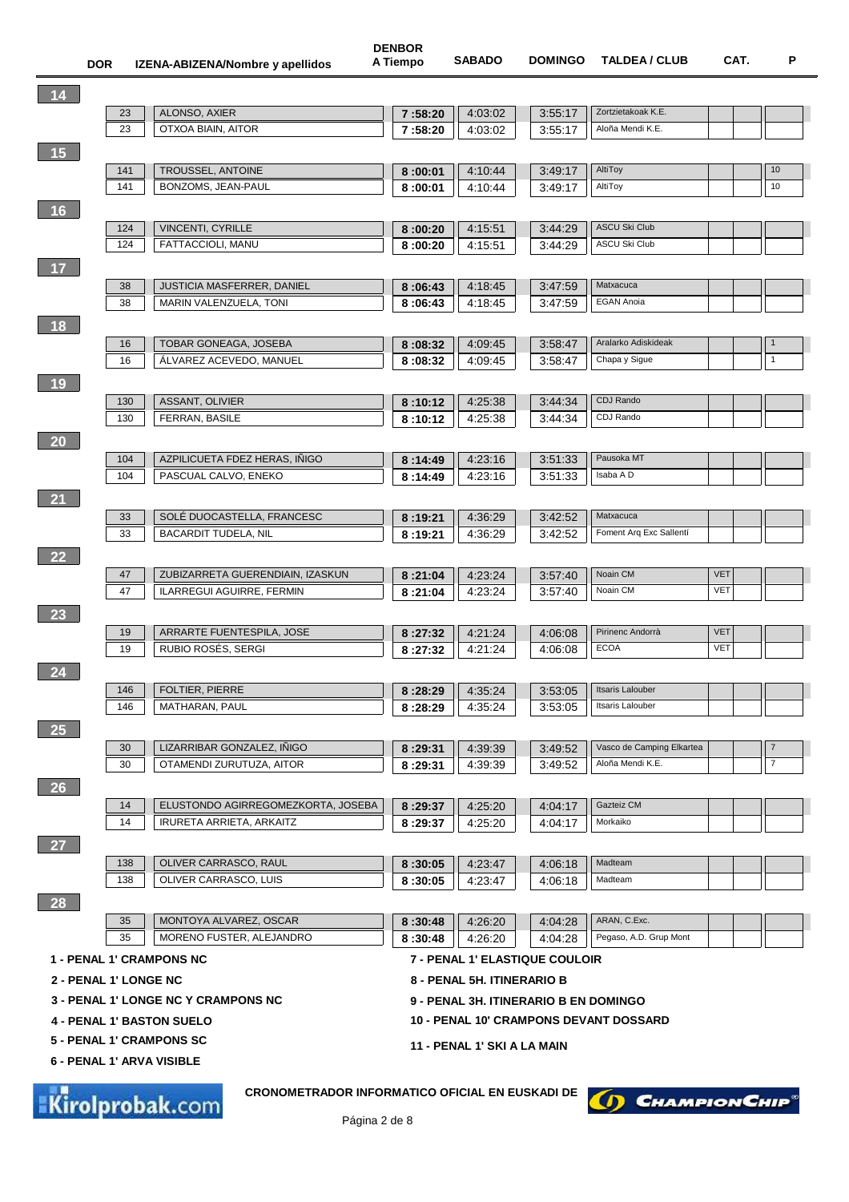**DENBOR**

| 14                          |          |                                                                                  |                    |                                       |                    |                                               |            |                |
|-----------------------------|----------|----------------------------------------------------------------------------------|--------------------|---------------------------------------|--------------------|-----------------------------------------------|------------|----------------|
|                             | 23       | ALONSO, AXIER                                                                    | 7:58:20            | 4:03:02                               | 3:55:17            | Zortzietakoak K.E.                            |            |                |
|                             | 23       | OTXOA BIAIN, AITOR                                                               | 7:58:20            | 4:03:02                               | 3:55:17            | Aloña Mendi K.E.                              |            |                |
| 15                          |          |                                                                                  |                    |                                       |                    |                                               |            |                |
|                             | 141      | TROUSSEL, ANTOINE                                                                | 8:00:01            | 4:10:44                               | 3:49:17            | AltiToy                                       |            | 10             |
|                             | 141      | BONZOMS, JEAN-PAUL                                                               | 8:00:01            | 4:10:44                               | 3:49:17            | AltiToy                                       |            | 10             |
| 16                          |          |                                                                                  |                    |                                       |                    |                                               |            |                |
|                             | 124      | <b>VINCENTI, CYRILLE</b>                                                         | 8:00:20            | 4:15:51                               | 3:44:29            | <b>ASCU Ski Club</b>                          |            |                |
|                             | 124      | FATTACCIOLI, MANU                                                                | 8:00:20            | 4:15:51                               | 3:44:29            | <b>ASCU Ski Club</b>                          |            |                |
| 17                          |          |                                                                                  |                    |                                       |                    |                                               |            |                |
|                             | 38       | <b>JUSTICIA MASFERRER, DANIEL</b>                                                | 8:06:43            | 4:18:45                               | 3:47:59            | Matxacuca                                     |            |                |
|                             | 38       | MARIN VALENZUELA, TONI                                                           | 8:06:43            | 4:18:45                               | 3:47:59            | <b>EGAN Anoia</b>                             |            |                |
| 18                          |          |                                                                                  |                    |                                       |                    |                                               |            |                |
|                             | 16       | TOBAR GONEAGA, JOSEBA                                                            | 8:08:32            | 4:09:45                               | 3:58:47            | Aralarko Adiskideak                           |            |                |
|                             | 16       | ALVAREZ ACEVEDO, MANUEL                                                          | 8:08:32            | 4:09:45                               | 3:58:47            | Chapa y Sigue                                 |            | $\mathbf{1}$   |
| 19                          |          |                                                                                  |                    |                                       |                    |                                               |            |                |
|                             | 130      | ASSANT, OLIVIER                                                                  | 8:10:12            | 4:25:38                               | 3:44:34            | CDJ Rando                                     |            |                |
|                             | 130      | FERRAN, BASILE                                                                   | 8:10:12            | 4:25:38                               | 3:44:34            | CDJ Rando                                     |            |                |
| 20                          |          |                                                                                  |                    |                                       |                    |                                               |            |                |
|                             | 104      | AZPILICUETA FDEZ HERAS, INIGO                                                    | 8:14:49            | 4:23:16                               | 3:51:33            | Pausoka MT                                    |            |                |
|                             | 104      | PASCUAL CALVO, ENEKO                                                             | 8:14:49            | 4:23:16                               | 3:51:33            | Isaba A D                                     |            |                |
| $\overline{\phantom{1}}$ 21 |          |                                                                                  |                    |                                       |                    |                                               |            |                |
|                             | 33       | SOLÉ DUOCASTELLA, FRANCESC                                                       | 8:19:21            | 4:36:29                               | 3:42:52            | Matxacuca                                     |            |                |
|                             | 33       | <b>BACARDIT TUDELA, NIL</b>                                                      | 8:19:21            | 4:36:29                               | 3:42:52            | Foment Arq Exc Sallentí                       |            |                |
|                             |          |                                                                                  |                    |                                       |                    |                                               |            |                |
| 22                          | 47       | ZUBIZARRETA GUERENDIAIN, IZASKUN                                                 |                    | 4:23:24                               | 3:57:40            | Noain CM                                      | <b>VET</b> |                |
|                             | 47       | ILARREGUI AGUIRRE, FERMIN                                                        | 8:21:04<br>8:21:04 | 4:23:24                               | 3:57:40            | Noain CM                                      | <b>VET</b> |                |
|                             |          |                                                                                  |                    |                                       |                    |                                               |            |                |
| 23                          | 19       | ARRARTE FUENTESPILA, JOSE                                                        | 8:27:32            | 4:21:24                               | 4:06:08            | Pirinenc Andorrà                              | <b>VET</b> |                |
|                             | 19       | RUBIO ROSÉS, SERGI                                                               | 8:27:32            | 4:21:24                               | 4:06:08            | <b>ECOA</b>                                   | VET        |                |
| $\overline{24}$             |          |                                                                                  |                    |                                       |                    |                                               |            |                |
|                             | 146      | <b>FOLTIER, PIERRE</b>                                                           | 8:28:29            | 4:35:24                               |                    | <b>Itsaris Lalouber</b>                       |            |                |
|                             | 146      | MATHARAN, PAUL                                                                   | 8:28:29            | 4:35:24                               | 3:53:05<br>3:53:05 | Itsaris Lalouber                              |            |                |
|                             |          |                                                                                  |                    |                                       |                    |                                               |            |                |
| 25                          | 30       | LIZARRIBAR GONZALEZ, INIGO                                                       |                    | 4:39:39                               | 3:49:52            | Vasco de Camping Elkartea                     |            | 7              |
|                             | 30       | OTAMENDI ZURUTUZA, AITOR                                                         | 8:29:31<br>8:29:31 | 4:39:39                               | 3:49:52            | Aloña Mendi K.E.                              |            | $\overline{7}$ |
|                             |          |                                                                                  |                    |                                       |                    |                                               |            |                |
| 26                          | 14       | ELUSTONDO AGIRREGOMEZKORTA, JOSEBA                                               |                    | 4:25:20                               | 4:04:17            | Gazteiz CM                                    |            |                |
|                             | 14       | IRURETA ARRIETA, ARKAITZ                                                         | 8:29:37<br>8:29:37 | 4:25:20                               | 4:04:17            | Morkaiko                                      |            |                |
|                             |          |                                                                                  |                    |                                       |                    |                                               |            |                |
| $\overline{\phantom{a}}$ 27 | 138      | OLIVER CARRASCO, RAUL                                                            |                    |                                       |                    | Madteam                                       |            |                |
|                             | 138      | OLIVER CARRASCO, LUIS                                                            | 8:30:05<br>8:30:05 | 4.23.47<br>4:23:47                    | 4:06:18<br>4:06:18 | Madteam                                       |            |                |
|                             |          |                                                                                  |                    |                                       |                    |                                               |            |                |
| 28                          |          |                                                                                  |                    |                                       |                    | ARAN, C.Exc.                                  |            |                |
|                             | 35<br>35 | MONTOYA ALVAREZ, OSCAR<br>MORENO FUSTER, ALEJANDRO                               | 8:30:48<br>8:30:48 | 4:26:20<br>4:26:20                    | 4:04:28<br>4:04:28 | Pegaso, A.D. Grup Mont                        |            |                |
|                             |          |                                                                                  |                    |                                       |                    |                                               |            |                |
|                             |          | <b>1 - PENAL 1' CRAMPONS NC</b>                                                  |                    | <b>7 - PENAL 1' ELASTIQUE COULOIR</b> |                    |                                               |            |                |
| 2 - PENAL 1' LONGE NC       |          |                                                                                  |                    | 8 - PENAL 5H. ITINERARIO B            |                    |                                               |            |                |
|                             |          | <b>3 - PENAL 1' LONGE NC Y CRAMPONS NC</b>                                       |                    | 9 - PENAL 3H. ITINERARIO B EN DOMINGO |                    |                                               |            |                |
|                             |          | <b>4 - PENAL 1' BASTON SUELO</b>                                                 |                    |                                       |                    | <b>10 - PENAL 10' CRAMPONS DEVANT DOSSARD</b> |            |                |
|                             |          | 5 - PENAL 1' CRAMPONS SC                                                         |                    | 11 - PENAL 1' SKI A LA MAIN           |                    |                                               |            |                |
|                             |          | 6 - PENAL 1' ARVA VISIBLE                                                        |                    |                                       |                    |                                               |            |                |
|                             |          | <b>CRONOMETRADOR INFORMATICO OFICIAL EN EUSKADI DE</b><br><b>Kirolprobak.com</b> |                    |                                       |                    | D CHAMPION CHIP                               |            |                |
|                             |          |                                                                                  |                    |                                       |                    |                                               |            |                |

Página 2 de 8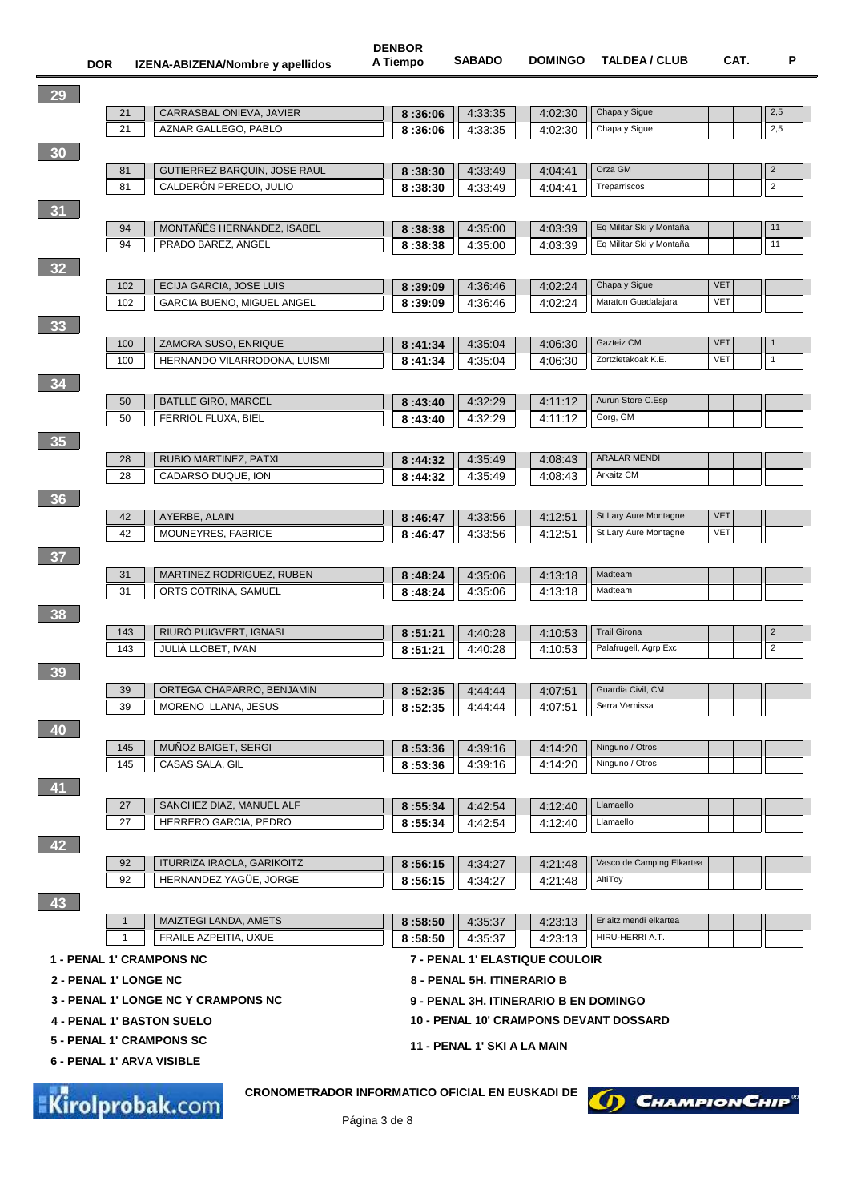|                 | <b>DOR</b>            |              | IZENA-ABIZENA/Nombre y apellidos                | A Tiempo           | <b>SABADO</b>                         | <b>DOMINGO</b> | <b>TALDEA / CLUB</b>                          | CAT.       | P              |
|-----------------|-----------------------|--------------|-------------------------------------------------|--------------------|---------------------------------------|----------------|-----------------------------------------------|------------|----------------|
| 29              |                       |              |                                                 |                    |                                       |                |                                               |            |                |
|                 |                       | 21           | CARRASBAL ONIEVA, JAVIER                        | 8:36:06            | 4:33:35                               | 4:02:30        | Chapa y Sigue                                 |            | 2,5            |
|                 |                       | 21           | AZNAR GALLEGO, PABLO                            | 8:36:06            | 4:33:35                               | 4:02:30        | Chapa y Sigue                                 |            | 2,5            |
| 30              |                       |              |                                                 |                    |                                       |                |                                               |            |                |
|                 |                       | 81           | GUTIERREZ BARQUIN, JOSE RAUL                    | 8:38:30            | 4:33:49                               | 4:04:41        | Orza GM                                       |            | $\overline{2}$ |
|                 |                       | 81           | CALDERON PEREDO, JULIO                          | 8:38:30            | 4:33:49                               | 4:04:41        | Treparriscos                                  |            | $\sqrt{2}$     |
|                 |                       |              |                                                 |                    |                                       |                |                                               |            |                |
| 31              |                       | 94           | MONTAÑÉS HERNÁNDEZ, ISABEL                      |                    | 4:35:00                               | 4:03:39        | Eq Militar Ski y Montaña                      |            | 11             |
|                 |                       | 94           | PRADO BAREZ, ANGEL                              | 8:38:38<br>8:38:38 | 4:35:00                               | 4:03:39        | Eq Militar Ski y Montaña                      |            | 11             |
|                 |                       |              |                                                 |                    |                                       |                |                                               |            |                |
| 32 <sup>°</sup> |                       | 102          | ECIJA GARCIA, JOSE LUIS                         |                    |                                       | 4:02:24        | Chapa y Sigue                                 | <b>VET</b> |                |
|                 |                       | 102          | GARCIA BUENO, MIGUEL ANGEL                      | 8:39:09<br>8:39:09 | 4:36:46<br>4:36:46                    | 4:02:24        | Maraton Guadalajara                           | <b>VET</b> |                |
|                 |                       |              |                                                 |                    |                                       |                |                                               |            |                |
| 33 <sub>o</sub> |                       | 100          | ZAMORA SUSO, ENRIQUE                            |                    | 4:35:04                               | 4:06:30        | Gazteiz CM                                    | <b>VET</b> |                |
|                 |                       | 100          | HERNANDO VILARRODONA, LUISMI                    | 8:41:34<br>8:41:34 | 4:35:04                               | 4:06:30        | Zortzietakoak K.E.                            | <b>VET</b> | $\mathbf{1}$   |
| 34              |                       |              |                                                 |                    |                                       |                |                                               |            |                |
|                 |                       | 50           | <b>BATLLE GIRO, MARCEL</b>                      | 8:43:40            | 4:32:29                               | 4:11:12        | Aurun Store C.Esp                             |            |                |
|                 |                       | 50           | FERRIOL FLUXA, BIEL                             | 8:43:40            | 4:32:29                               | 4:11:12        | Gorg, GM                                      |            |                |
| 35              |                       |              |                                                 |                    |                                       |                |                                               |            |                |
|                 |                       | 28           | RUBIO MARTINEZ, PATXI                           | 8:44:32            | 4:35:49                               | 4:08:43        | <b>ARALAR MENDI</b>                           |            |                |
|                 |                       | 28           | CADARSO DUQUE, ION                              | 8:44:32            | 4:35:49                               | 4:08:43        | Arkaitz CM                                    |            |                |
| 36              |                       |              |                                                 |                    |                                       |                |                                               |            |                |
|                 |                       | 42           | AYERBE, ALAIN                                   | 8:46:47            | 4:33:56                               | 4:12:51        | St Lary Aure Montagne                         | <b>VET</b> |                |
|                 |                       | 42           | MOUNEYRES, FABRICE                              | 8:46:47            | 4:33:56                               | 4:12:51        | St Lary Aure Montagne                         | <b>VET</b> |                |
| 37 <sup>°</sup> |                       |              |                                                 |                    |                                       |                |                                               |            |                |
|                 |                       | 31           | MARTINEZ RODRIGUEZ, RUBEN                       | 8:48:24            | 4:35:06                               | 4:13:18        | Madteam                                       |            |                |
|                 |                       | 31           | ORTS COTRINA, SAMUEL                            | 8:48:24            | 4:35:06                               | 4:13:18        | Madteam                                       |            |                |
| 38              |                       |              |                                                 |                    |                                       |                |                                               |            |                |
|                 |                       | 143          | RIURÓ PUIGVERT, IGNASI                          | 8:51:21            | 4:40:28                               | 4:10:53        | <b>Trail Girona</b>                           |            | $\overline{c}$ |
|                 |                       | 143          | JULIA LLOBET, IVAN                              | 8:51:21            | 4:40:28                               | 4:10:53        | Palafrugell, Agrp Exc                         |            | $\sqrt{2}$     |
| 39              |                       |              |                                                 |                    |                                       |                |                                               |            |                |
|                 |                       | 39           | ORTEGA CHAPARRO, BENJAMIN                       | 8:52:35            | 4:44:44                               | 4:07:51        | Guardia Civil, CM                             |            |                |
|                 |                       | 39           | MORENO LLANA, JESUS                             | 8:52:35            | 4 44 44                               | 4:07:51        | Serra Vernissa                                |            |                |
| 40              |                       |              |                                                 |                    |                                       |                |                                               |            |                |
|                 |                       | 145          | MUÑOZ BAIGET, SERGI                             | 8:53:36            | 4:39:16                               | 4:14:20        | Ninguno / Otros                               |            |                |
|                 |                       | 145          | CASAS SALA, GIL                                 | 8:53:36            | 4:39:16                               | 4:14:20        | Ninguno / Otros                               |            |                |
| 41              |                       |              |                                                 |                    |                                       |                |                                               |            |                |
|                 |                       | 27           | SANCHEZ DIAZ, MANUEL ALF                        | 8:55:34            | 4:42:54                               | 4:12:40        | Llamaello                                     |            |                |
|                 |                       | 27           | HERRERO GARCIA, PEDRO                           | 8:55:34            | 4:42:54                               | 4:12:40        | Llamaello                                     |            |                |
| 42              |                       |              |                                                 |                    |                                       |                |                                               |            |                |
|                 |                       | 92           | ITURRIZA IRAOLA, GARIKOITZ                      | 8:56:15            | 4:34:27                               | 4:21:48        | Vasco de Camping Elkartea                     |            |                |
|                 |                       | 92           | HERNANDEZ YAGÜE, JORGE                          | 8:56:15            | 4:34:27                               | 4:21:48        | AltiToy                                       |            |                |
| 43              |                       |              |                                                 |                    |                                       |                |                                               |            |                |
|                 |                       | $\mathbf{1}$ | MAIZTEGI LANDA, AMETS                           | 8:58:50            | 4:35:37                               | 4:23:13        | Erlaitz mendi elkartea                        |            |                |
|                 |                       | $\mathbf{1}$ | FRAILE AZPEITIA, UXUE                           | 8:58:50            | 4:35:37                               | 4:23:13        | HIRU-HERRI A.T.                               |            |                |
|                 |                       |              | <b>1 - PENAL 1' CRAMPONS NC</b>                 |                    | 7 - PENAL 1' ELASTIQUE COULOIR        |                |                                               |            |                |
|                 | 2 - PENAL 1' LONGE NC |              |                                                 |                    | 8 - PENAL 5H. ITINERARIO B            |                |                                               |            |                |
|                 |                       |              | <b>3 - PENAL 1' LONGE NC Y CRAMPONS NC</b>      |                    | 9 - PENAL 3H. ITINERARIO B EN DOMINGO |                |                                               |            |                |
|                 |                       |              | <b>4 - PENAL 1' BASTON SUELO</b>                |                    |                                       |                | <b>10 - PENAL 10' CRAMPONS DEVANT DOSSARD</b> |            |                |
|                 |                       |              | 5 - PENAL 1' CRAMPONS SC                        |                    | 11 - PENAL 1' SKI A LA MAIN           |                |                                               |            |                |
|                 |                       |              | 6 - PENAL 1' ARVA VISIBLE                       |                    |                                       |                |                                               |            |                |
|                 |                       |              | CRONOMETRADOR INFORMATICO OFICIAL EN EUSKADI DE |                    |                                       |                |                                               |            |                |
|                 |                       |              |                                                 |                    |                                       |                |                                               |            |                |

**DENBOR**

Kirolprobak.com

(D) CHAMPION CHIP®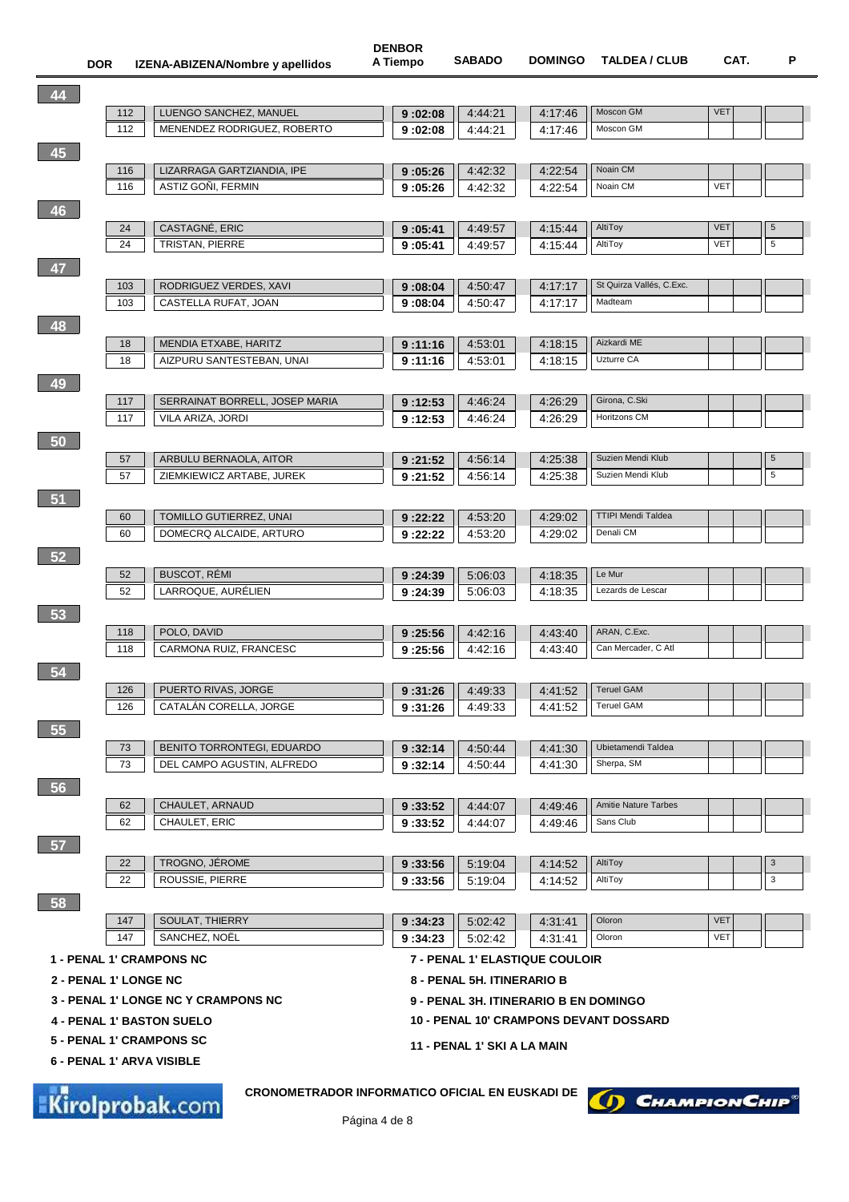| 44 |                       |                                                                           |                    |                                       |         |                                               |            |            |
|----|-----------------------|---------------------------------------------------------------------------|--------------------|---------------------------------------|---------|-----------------------------------------------|------------|------------|
|    | 112                   | LUENGO SANCHEZ, MANUEL                                                    | 9:02:08            | 4:44:21                               | 4:17:46 | Moscon GM                                     | <b>VET</b> |            |
|    | 112                   | MENENDEZ RODRIGUEZ, ROBERTO                                               | 9:02:08            | 4:44:21                               | 4:17:46 | Moscon GM                                     |            |            |
| 45 |                       |                                                                           |                    |                                       |         |                                               |            |            |
|    | 116                   | LIZARRAGA GARTZIANDIA, IPE                                                | 9:05:26            | 4:42:32                               | 4:22:54 | Noain CM                                      |            |            |
|    | 116                   | <b>ASTIZ GONI, FERMIN</b>                                                 | 9:05:26            | 4:42:32                               | 4:22:54 | Noain CM                                      | <b>VET</b> |            |
|    |                       |                                                                           |                    |                                       |         |                                               |            |            |
| 46 |                       |                                                                           |                    |                                       |         |                                               |            |            |
|    | 24                    | CASTAGNE, ERIC                                                            | 9:05:41            | 4:49:57                               | 4:15:44 | AltiToy                                       | <b>VET</b> | $\sqrt{5}$ |
|    | 24                    | <b>TRISTAN, PIERRE</b>                                                    | 9:05:41            | 4:49:57                               | 4:15:44 | AltiToy                                       | <b>VET</b> | 5          |
| 47 |                       |                                                                           |                    |                                       |         |                                               |            |            |
|    | 103                   | RODRIGUEZ VERDES, XAVI                                                    | 9:08:04            | 4:50:47                               | 4:17:17 | St Quirza Vallés, C.Exc.                      |            |            |
|    | 103                   | CASTELLA RUFAT, JOAN                                                      | 9:08:04            | 4:50:47                               | 4:17:17 | Madteam                                       |            |            |
| 48 |                       |                                                                           |                    |                                       |         |                                               |            |            |
|    |                       |                                                                           |                    |                                       |         |                                               |            |            |
|    | 18                    | MENDIA ETXABE, HARITZ                                                     | 9:11:16            | 4:53:01                               | 4:18:15 | Aizkardi ME                                   |            |            |
|    | 18                    | AIZPURU SANTESTEBAN, UNAI                                                 | 9:11:16            | 4:53:01                               | 4:18:15 | Uzturre CA                                    |            |            |
| 49 |                       |                                                                           |                    |                                       |         |                                               |            |            |
|    | 117                   | SERRAINAT BORRELL, JOSEP MARIA                                            | 9:12:53            | 4:46:24                               | 4:26:29 | Girona, C.Ski                                 |            |            |
|    | 117                   | VILA ARIZA, JORDI                                                         | 9:12:53            | 4:46:24                               | 4:26:29 | Horitzons CM                                  |            |            |
| 50 |                       |                                                                           |                    |                                       |         |                                               |            |            |
|    | 57                    | ARBULU BERNAOLA, AITOR                                                    | 9:21:52            | 4:56:14                               | 4:25:38 | Suzien Mendi Klub                             |            | 5          |
|    | 57                    | ZIEMKIEWICZ ARTABE, JUREK                                                 | 9:21:52            | 4:56:14                               | 4:25:38 | Suzien Mendi Klub                             |            | 5          |
|    |                       |                                                                           |                    |                                       |         |                                               |            |            |
| 51 |                       |                                                                           |                    |                                       |         |                                               |            |            |
|    | 60                    | TOMILLO GUTIERREZ, UNAI                                                   | 9:22:22            | 4:53:20                               | 4:29:02 | <b>TTIPI Mendi Taldea</b>                     |            |            |
|    | 60                    | DOMECRQ ALCAIDE, ARTURO                                                   | 9:22:22            | 4:53:20                               | 4:29:02 | Denali CM                                     |            |            |
| 52 |                       |                                                                           |                    |                                       |         |                                               |            |            |
|    | 52                    | <b>BUSCOT, REMI</b>                                                       | 9:24:39            | 5:06:03                               | 4:18:35 | Le Mur                                        |            |            |
|    | 52                    | LARROQUE, AURÉLIEN                                                        | 9:24:39            | 5:06:03                               | 4:18:35 | Lezards de Lescar                             |            |            |
| 53 |                       |                                                                           |                    |                                       |         |                                               |            |            |
|    | 118                   | POLO, DAVID                                                               | 9:25:56            | 4:42:16                               | 4:43:40 | ARAN, C.Exc.                                  |            |            |
|    | 118                   | CARMONA RUIZ, FRANCESC                                                    | 9:25:56            | 4:42:16                               | 4:43:40 | Can Mercader, C Atl                           |            |            |
|    |                       |                                                                           |                    |                                       |         |                                               |            |            |
| 54 |                       |                                                                           |                    |                                       |         |                                               |            |            |
|    | 126                   | PUERTO RIVAS, JORGE                                                       | 9:31:26            | 4:49:33                               | 4:41:52 | <b>Teruel GAM</b>                             |            |            |
|    | 126                   | CATALÁN CORELLA, JORGE                                                    | 9:31:26            | 4:49:33                               | 4:41:52 | <b>Teruel GAM</b>                             |            |            |
| 55 |                       |                                                                           |                    |                                       |         |                                               |            |            |
|    | 73                    | BENITO TORRONTEGI, EDUARDO                                                | 9:32:14            | 4:50:44                               | 4:41:30 | Ubietamendi Taldea                            |            |            |
|    | 73                    | DEL CAMPO AGUSTIN, ALFREDO                                                | 9:32:14            | 4:50:44                               | 4:41:30 | Sherpa, SM                                    |            |            |
| 56 |                       |                                                                           |                    |                                       |         |                                               |            |            |
|    | 62                    | CHAULET, ARNAUD                                                           |                    |                                       | 4:49:46 | <b>Amitie Nature Tarbes</b>                   |            |            |
|    | 62                    | CHAULET, ERIC                                                             | 9:33:52<br>9:33:52 | 4:44:07<br>4:44:07                    | 4:49:46 | Sans Club                                     |            |            |
|    |                       |                                                                           |                    |                                       |         |                                               |            |            |
| 57 |                       |                                                                           |                    |                                       |         |                                               |            |            |
|    | 22                    | TROGNO, JÉROME                                                            | 9:33:56            | 5:19:04                               | 4:14:52 | AltiToy                                       |            | 3          |
|    | 22                    | ROUSSIE, PIERRE                                                           | 9:33:56            | 5:19:04                               | 4:14:52 | AltiToy                                       |            | 3          |
| 58 |                       |                                                                           |                    |                                       |         |                                               |            |            |
|    | 147                   | SOULAT, THIERRY                                                           | 9:34:23            | 5:02:42                               | 4 31 41 | Oloron                                        | <b>VET</b> |            |
|    | 147                   | SANCHEZ, NOËL                                                             | 9:34:23            | 5:02:42                               | 4:31:41 | Oloron                                        | <b>VET</b> |            |
|    |                       | <b>1 - PENAL 1' CRAMPONS NC</b>                                           |                    | 7 - PENAL 1' ELASTIQUE COULOIR        |         |                                               |            |            |
|    |                       |                                                                           |                    |                                       |         |                                               |            |            |
|    | 2 - PENAL 1' LONGE NC |                                                                           |                    | 8 - PENAL 5H. ITINERARIO B            |         |                                               |            |            |
|    |                       | <b>3 - PENAL 1' LONGE NC Y CRAMPONS NC</b>                                |                    | 9 - PENAL 3H. ITINERARIO B EN DOMINGO |         |                                               |            |            |
|    |                       | <b>4 - PENAL 1' BASTON SUELO</b>                                          |                    |                                       |         | <b>10 - PENAL 10' CRAMPONS DEVANT DOSSARD</b> |            |            |
|    |                       | <b>5 - PENAL 1' CRAMPONS SC</b>                                           |                    | 11 - PENAL 1' SKI A LA MAIN           |         |                                               |            |            |
|    |                       | 6 - PENAL 1' ARVA VISIBLE                                                 |                    |                                       |         |                                               |            |            |
|    |                       |                                                                           |                    |                                       |         |                                               |            |            |
|    |                       | <b>CRONOMETRADOR INFORMATICO OFICIAL EN EUSKADI DE</b><br>Kirolprobak.com |                    |                                       |         | (D) CHAMPION CHIP                             |            |            |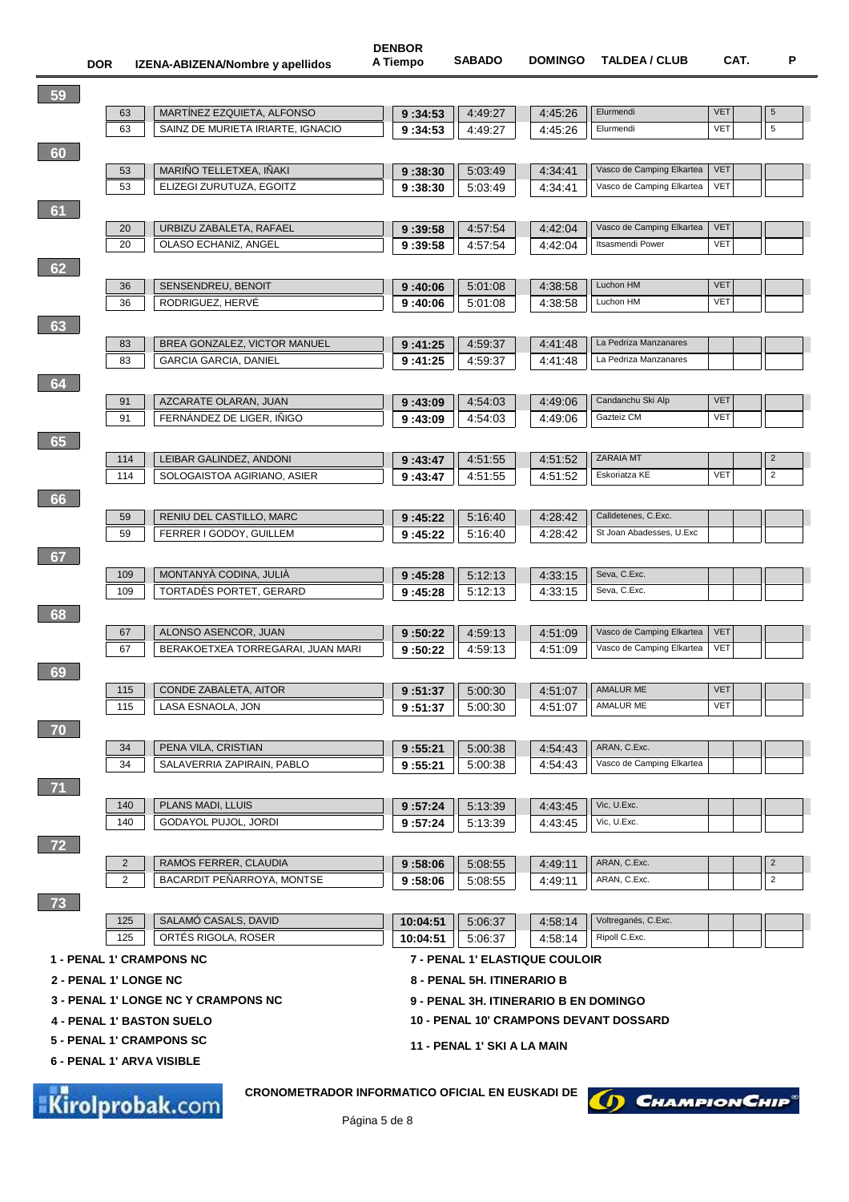|    | <b>DOR</b>            |                | IZENA-ABIZENA/Nombre y apellidos                             | אטכוובע<br>A Tiempo | <b>SABADO</b>                         | <b>DOMINGO</b>     | <b>TALDEA / CLUB</b>                            | CAT.                     | P                                     |
|----|-----------------------|----------------|--------------------------------------------------------------|---------------------|---------------------------------------|--------------------|-------------------------------------------------|--------------------------|---------------------------------------|
|    |                       |                |                                                              |                     |                                       |                    |                                                 |                          |                                       |
| 59 |                       | 63             | MARTINEZ EZQUIETA, ALFONSO                                   | 9:34:53             | 4:49.27                               | 4:45:26            | Elurmendi                                       | <b>VET</b>               | $\sqrt{5}$                            |
|    |                       | 63             | SAINZ DE MURIETA IRIARTE, IGNACIO                            | 9:34:53             | 4:49:27                               | 4:45:26            | Elurmendi                                       | <b>VET</b>               | $\,$ 5 $\,$                           |
| 60 |                       |                |                                                              |                     |                                       |                    |                                                 |                          |                                       |
|    |                       | 53             | MARIÑO TELLETXEA, IÑAKI                                      | 9:38:30             | 5:03:49                               | 4:34:41            | Vasco de Camping Elkartea                       | <b>VET</b>               |                                       |
|    |                       | 53             | ELIZEGI ZURUTUZA, EGOITZ                                     | 9:38:30             | 5:03:49                               | 4:34:41            | Vasco de Camping Elkartea                       | <b>VET</b>               |                                       |
|    |                       |                |                                                              |                     |                                       |                    |                                                 |                          |                                       |
| 61 |                       |                |                                                              |                     |                                       |                    | Vasco de Camping Elkartea                       | <b>VET</b>               |                                       |
|    |                       | 20<br>20       | URBIZU ZABALETA, RAFAEL<br>OLASO ECHANIZ, ANGEL              | 9:39:58<br>9:39:58  | 4:57:54<br>4:57:54                    | 4:42:04<br>4:42:04 | <b>Itsasmendi Power</b>                         | <b>VET</b>               |                                       |
|    |                       |                |                                                              |                     |                                       |                    |                                                 |                          |                                       |
| 62 |                       |                |                                                              |                     |                                       |                    | Luchon HM                                       | <b>VET</b>               |                                       |
|    |                       | 36<br>36       | SENSENDREU, BENOIT<br>RODRIGUEZ, HERVÉ                       | 9:40:06<br>9:40:06  | 5:01:08<br>5:01:08                    | 4:38:58<br>4:38:58 | Luchon HM                                       | <b>VET</b>               |                                       |
|    |                       |                |                                                              |                     |                                       |                    |                                                 |                          |                                       |
| 63 |                       |                |                                                              |                     |                                       |                    |                                                 |                          |                                       |
|    |                       | 83<br>83       | BREA GONZALEZ, VICTOR MANUEL<br><b>GARCIA GARCIA, DANIEL</b> | 9:41:25             | 4:59:37                               | 4:41:48<br>4:41:48 | La Pedriza Manzanares<br>La Pedriza Manzanares  |                          |                                       |
|    |                       |                |                                                              | 9:41:25             | 4:59:37                               |                    |                                                 |                          |                                       |
| 64 |                       |                |                                                              |                     |                                       |                    |                                                 |                          |                                       |
|    |                       | 91             | AZCARATE OLARAN, JUAN                                        | 9:43:09             | 4:54:03                               | 4:49:06            | Candanchu Ski Alp<br>Gazteiz CM                 | <b>VET</b><br><b>VET</b> |                                       |
|    |                       | 91             | FERNÁNDEZ DE LIGER, IÑIGO                                    | 9:43:09             | 4:54:03                               | 4:49:06            |                                                 |                          |                                       |
| 65 |                       |                |                                                              |                     |                                       |                    |                                                 |                          |                                       |
|    |                       | 114            | LEIBAR GALINDEZ, ANDONI                                      | 9:43:47             | 4:51:55                               | 4:51:52            | <b>ZARAIA MT</b><br>Eskoriatza KE               | <b>VET</b>               | $\overline{\mathbf{c}}$<br>$\sqrt{2}$ |
|    |                       | 114            | SOLOGAISTOA AGIRIANO, ASIER                                  | 9:43:47             | 4:51:55                               | 4:51:52            |                                                 |                          |                                       |
| 66 |                       |                |                                                              |                     |                                       |                    |                                                 |                          |                                       |
|    |                       | 59             | RENIU DEL CASTILLO, MARC                                     | 9:45:22             | 5:16:40                               | 4:28:42            | Calldetenes, C.Exc.<br>St Joan Abadesses, U.Exc |                          |                                       |
|    |                       | 59             | FERRER I GODOY, GUILLEM                                      | 9:45:22             | 5:16:40                               | 4:28:42            |                                                 |                          |                                       |
| 67 |                       |                |                                                              |                     |                                       |                    |                                                 |                          |                                       |
|    |                       | 109            | MONTANYÀ CODINA, JULIÀ                                       | 9:45:28             | 5:12:13                               | 4:33:15            | Seva, C.Exc.                                    |                          |                                       |
|    |                       | 109            | TORTADES PORTET, GERARD                                      | 9:45:28             | 5:12:13                               | 4:33:15            | Seva, C.Exc.                                    |                          |                                       |
| 68 |                       |                |                                                              |                     |                                       |                    |                                                 |                          |                                       |
|    |                       | 67             | ALONSO ASENCOR, JUAN                                         | 9:50:22             | 4:59:13                               | 4:51:09            | Vasco de Camping Elkartea                       | <b>VET</b>               |                                       |
|    |                       | 67             | BERAKOETXEA TORREGARAI, JUAN MARI                            | 9:50:22             | 4:59:13                               | 4:51:09            | Vasco de Camping Elkartea                       | <b>VET</b>               |                                       |
| 69 |                       |                |                                                              |                     |                                       |                    |                                                 |                          |                                       |
|    |                       |                | 115   CONDE ZABALETA, AITOR                                  |                     | $\boxed{9:51:37}$ 5:00:30             |                    | 4:51:07   AMALUR ME                             | <b>VET</b>               |                                       |
|    |                       | 115            | LASA ESNAOLA, JON                                            | 9:51:37             | 5:00:30                               | 4:51:07            | AMALUR ME                                       | <b>VET</b>               |                                       |
| 70 |                       |                |                                                              |                     |                                       |                    |                                                 |                          |                                       |
|    |                       | 34             | PENA VILA, CRISTIAN                                          | 9:55:21             | 5:00:38                               | 4:54:43            | ARAN, C.Exc.                                    |                          |                                       |
|    |                       | 34             | SALAVERRIA ZAPIRAIN, PABLO                                   | 9:55:21             | 5:00:38                               | 4:54:43            | Vasco de Camping Elkartea                       |                          |                                       |
| 71 |                       |                |                                                              |                     |                                       |                    |                                                 |                          |                                       |
|    |                       | 140            | PLANS MADI, LLUIS                                            | 9:57:24             | 5:13:39                               | 4:43:45            | Vic, U.Exc.                                     |                          |                                       |
|    |                       | 140            | <b>GODAYOL PUJOL, JORDI</b>                                  | 9:57:24             | 5:13:39                               | 4:43:45            | Vic, U.Exc.                                     |                          |                                       |
| 72 |                       |                |                                                              |                     |                                       |                    |                                                 |                          |                                       |
|    |                       | $\overline{2}$ | RAMOS FERRER, CLAUDIA                                        | 9:58:06             | 5:08:55                               | 4:49:11            | ARAN, C.Exc.                                    |                          | $\overline{2}$                        |
|    |                       | $\overline{2}$ | BACARDIT PEÑARROYA, MONTSE                                   | 9:58:06             | 5:08:55                               | 4:49:11            | ARAN, C.Exc.                                    |                          | $\overline{2}$                        |
| 73 |                       |                |                                                              |                     |                                       |                    |                                                 |                          |                                       |
|    |                       | 125            | SALAMÓ CASALS, DAVID                                         | 10:04:51            | 5:06:37                               | 4:58:14            | Voltreganés, C.Exc.                             |                          |                                       |
|    |                       | 125            | ORTÉS RIGOLA, ROSER                                          | 10:04:51            | 5:06:37                               | 4:58:14            | Ripoll C.Exc.                                   |                          |                                       |
|    |                       |                | <b>1 - PENAL 1' CRAMPONS NC</b>                              |                     | 7 - PENAL 1' ELASTIQUE COULOIR        |                    |                                                 |                          |                                       |
|    | 2 - PENAL 1' LONGE NC |                |                                                              |                     | 8 - PENAL 5H. ITINERARIO B            |                    |                                                 |                          |                                       |
|    |                       |                | <b>3 - PENAL 1' LONGE NC Y CRAMPONS NC</b>                   |                     | 9 - PENAL 3H. ITINERARIO B EN DOMINGO |                    |                                                 |                          |                                       |
|    |                       |                | <b>4 - PENAL 1' BASTON SUELO</b>                             |                     |                                       |                    | <b>10 - PENAL 10' CRAMPONS DEVANT DOSSARD</b>   |                          |                                       |
|    |                       |                | 5 - PENAL 1' CRAMPONS SC                                     |                     | 11 - PENAL 1' SKI A LA MAIN           |                    |                                                 |                          |                                       |
|    |                       |                | 6 - PENAL 1' ARVA VISIBLE                                    |                     |                                       |                    |                                                 |                          |                                       |
|    |                       |                |                                                              |                     |                                       |                    |                                                 |                          |                                       |
| J. |                       |                | CRONOMETRADOR INFORMATICO OFICIAL EN EUSKADI DE              |                     |                                       |                    |                                                 |                          |                                       |

**DENBOR**

Kirolprobak.com

 $\left( \int \right)$  Champion Chip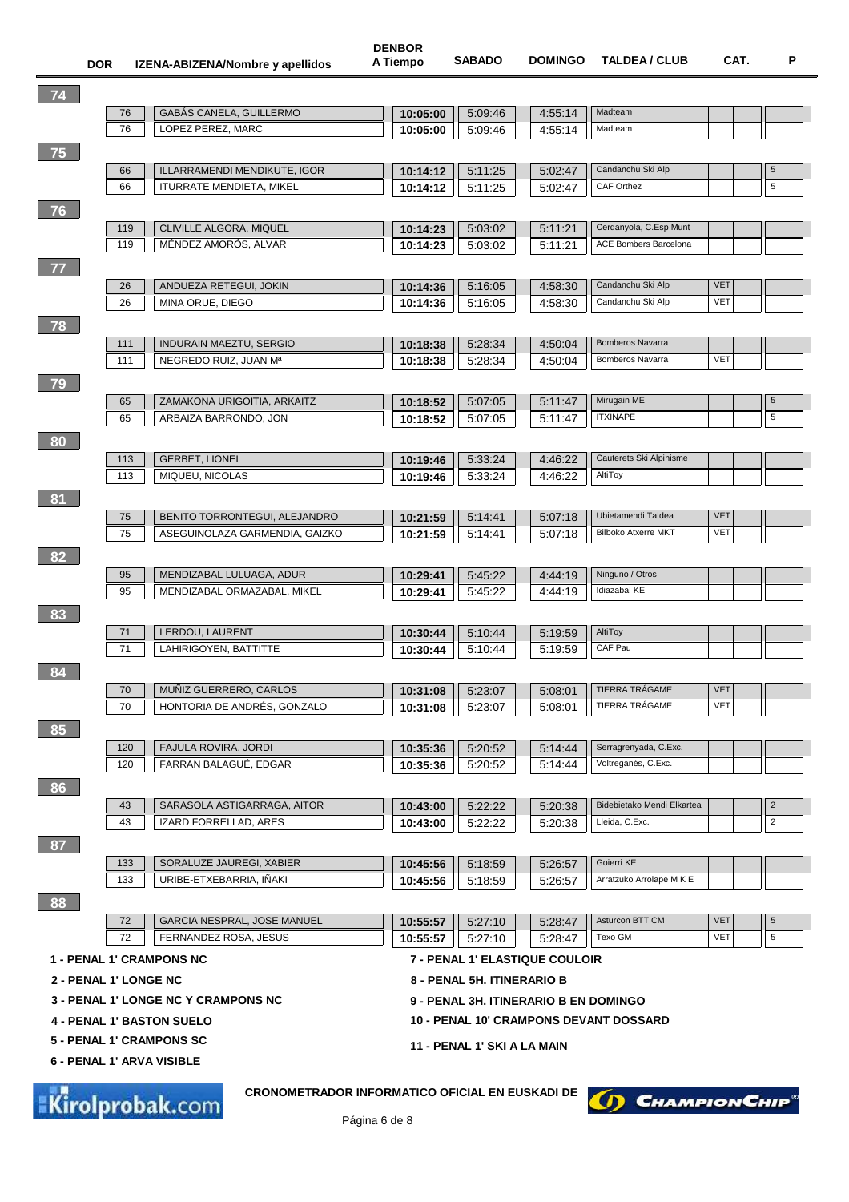| 74                           |            |                                                                                  |          |                                       |                    |                                                    |            |                |
|------------------------------|------------|----------------------------------------------------------------------------------|----------|---------------------------------------|--------------------|----------------------------------------------------|------------|----------------|
|                              | 76         | <b>GABÁS CANELA, GUILLERMO</b>                                                   | 10:05:00 | 5:09:46                               | 4:55:14            | Madteam                                            |            |                |
|                              | 76         | LOPEZ PEREZ, MARC                                                                | 10:05:00 | 5:09:46                               | 4:55:14            | Madteam                                            |            |                |
| 75                           |            |                                                                                  |          |                                       |                    |                                                    |            |                |
|                              | 66         | ILLARRAMENDI MENDIKUTE, IGOR                                                     | 10:14:12 | 5:11:25                               | 5:02:47            | Candanchu Ski Alp                                  |            | 5              |
|                              | 66         | <b>ITURRATE MENDIETA, MIKEL</b>                                                  | 10:14:12 | 5:11:25                               | 5:02:47            | CAF Orthez                                         |            | 5              |
| 76                           |            |                                                                                  |          |                                       |                    |                                                    |            |                |
|                              | 119        | CLIVILLE ALGORA, MIQUEL                                                          | 10:14:23 | 5:03:02                               | 5:11:21            | Cerdanyola, C.Esp Munt                             |            |                |
|                              | 119        | MÉNDEZ AMORÓS, ALVAR                                                             | 10:14:23 | 5:03:02                               | 5:11:21            | <b>ACE Bombers Barcelona</b>                       |            |                |
| 77                           |            |                                                                                  |          |                                       |                    |                                                    |            |                |
|                              | 26         | ANDUEZA RETEGUI, JOKIN                                                           | 10:14:36 | 5:16:05                               | 4:58:30            | Candanchu Ski Alp                                  | <b>VET</b> |                |
|                              | 26         | MINA ORUE, DIEGO                                                                 | 10:14:36 | 5:16:05                               | 4:58:30            | Candanchu Ski Alp                                  | VET        |                |
|                              |            |                                                                                  |          |                                       |                    |                                                    |            |                |
| 78                           |            |                                                                                  |          |                                       |                    |                                                    |            |                |
|                              | 111<br>111 | <b>INDURAIN MAEZTU, SERGIO</b><br>NEGREDO RUIZ, JUAN Mª                          | 10:18:38 | 5:28:34                               | 4:50:04            | <b>Bomberos Navarra</b><br><b>Bomberos Navarra</b> | <b>VET</b> |                |
|                              |            |                                                                                  | 10:18:38 | 5:28:34                               | 4:50:04            |                                                    |            |                |
| 79                           |            |                                                                                  |          |                                       |                    |                                                    |            |                |
|                              | 65         | ZAMAKONA URIGOITIA, ARKAITZ                                                      | 10:18:52 | 5:07:05                               | 5:11:47            | Mirugain ME                                        |            | 5              |
|                              | 65         | ARBAIZA BARRONDO, JON                                                            | 10:18:52 | 5:07:05                               | 5:11:47            | <b>ITXINAPE</b>                                    |            | 5              |
| 80                           |            |                                                                                  |          |                                       |                    |                                                    |            |                |
|                              | 113        | <b>GERBET, LIONEL</b>                                                            | 10:19:46 | 5:33:24                               | 4:46:22            | Cauterets Ski Alpinisme                            |            |                |
|                              | 113        | MIQUEU, NICOLAS                                                                  | 10:19:46 | 5:33:24                               | 4:46:22            | AltiToy                                            |            |                |
| 81                           |            |                                                                                  |          |                                       |                    |                                                    |            |                |
|                              | 75         | BENITO TORRONTEGUI, ALEJANDRO                                                    | 10:21:59 | 5.14.41                               | 5:07:18            | Ubietamendi Taldea                                 | <b>VET</b> |                |
|                              | 75         | ASEGUINOLAZA GARMENDIA, GAIZKO                                                   | 10:21:59 | 5:14:41                               | 5:07:18            | <b>Bilboko Atxerre MKT</b>                         | <b>VET</b> |                |
| 82                           |            |                                                                                  |          |                                       |                    |                                                    |            |                |
|                              | 95         | MENDIZABAL LULUAGA, ADUR                                                         | 10:29:41 | 5:45:22                               | 4:44:19            | Ninguno / Otros                                    |            |                |
|                              | 95         | MENDIZABAL ORMAZABAL, MIKEL                                                      | 10:29:41 | 5:45:22                               | 4:44:19            | Idiazabal KE                                       |            |                |
| 83                           |            |                                                                                  |          |                                       |                    |                                                    |            |                |
|                              | 71         | LERDOU, LAURENT                                                                  | 10:30:44 | 5:10:44                               | 5:19:59            | AltiToy                                            |            |                |
|                              | 71         | LAHIRIGOYEN, BATTITTE                                                            | 10:30:44 | 5:10:44                               | 5.19:59            | CAF Pau                                            |            |                |
|                              |            |                                                                                  |          |                                       |                    |                                                    |            |                |
| 84                           |            |                                                                                  |          |                                       |                    | TIERRA TRÁGAME                                     | <b>VET</b> |                |
|                              | 70<br>70   | MUÑIZ GUERRERO, CARLOS<br>HONTORIA DE ANDRÉS, GONZALO                            | 10:31:08 | 5:23:07<br>5.23.07                    | 5:08:01<br>5:08:01 | TIERRA TRÁGAME                                     | <b>VET</b> |                |
|                              |            |                                                                                  | 10:31:08 |                                       |                    |                                                    |            |                |
| 85                           |            |                                                                                  |          |                                       |                    |                                                    |            |                |
|                              | 120        | FAJULA ROVIRA, JORDI                                                             | 10:35:36 | 5:20:52                               | 5:14:44            | Serragrenyada, C.Exc.                              |            |                |
|                              | 120        | FARRAN BALAGUÉ, EDGAR                                                            | 10:35:36 | 5:20:52                               | 5:14:44            | Voltreganés, C.Exc.                                |            |                |
| 86                           |            |                                                                                  |          |                                       |                    |                                                    |            |                |
|                              | 43         | SARASOLA ASTIGARRAGA, AITOR                                                      | 10:43:00 | 5:22:22                               | 5:20:38            | Bidebietako Mendi Elkartea                         |            | $\overline{c}$ |
|                              | 43         | IZARD FORRELLAD, ARES                                                            | 10:43:00 | 5:22:22                               | 5:20:38            | Lleida, C.Exc.                                     |            | $\overline{2}$ |
| 87                           |            |                                                                                  |          |                                       |                    |                                                    |            |                |
|                              | 133        | SORALUZE JAUREGI, XABIER                                                         | 10:45:56 | 5:18:59                               | 5:26:57            | Goierri KE                                         |            |                |
|                              | 133        | URIBE-ETXEBARRIA, IÑAKI                                                          | 10:45:56 | 5:18:59                               | 5:26:57            | Arratzuko Arrolape M K E                           |            |                |
| 88                           |            |                                                                                  |          |                                       |                    |                                                    |            |                |
|                              | 72         | GARCIA NESPRAL, JOSE MANUEL                                                      | 10:55:57 | 5:27:10                               | 5:28:47            | Asturcon BTT CM                                    | <b>VET</b> | $\,$ 5 $\,$    |
|                              | 72         | FERNANDEZ ROSA, JESUS                                                            | 10:55:57 | 5:27:10                               | 5:28:47            | Texo GM                                            | VET        | $\,$ 5 $\,$    |
|                              |            | <b>1 - PENAL 1' CRAMPONS NC</b>                                                  |          | 7 - PENAL 1' ELASTIQUE COULOIR        |                    |                                                    |            |                |
| <b>2 - PENAL 1' LONGE NC</b> |            |                                                                                  |          | 8 - PENAL 5H. ITINERARIO B            |                    |                                                    |            |                |
|                              |            | <b>3 - PENAL 1' LONGE NC Y CRAMPONS NC</b>                                       |          |                                       |                    |                                                    |            |                |
|                              |            |                                                                                  |          | 9 - PENAL 3H. ITINERARIO B EN DOMINGO |                    |                                                    |            |                |
|                              |            | <b>4 - PENAL 1' BASTON SUELO</b>                                                 |          |                                       |                    | <b>10 - PENAL 10' CRAMPONS DEVANT DOSSARD</b>      |            |                |
|                              |            | <b>5 - PENAL 1' CRAMPONS SC</b>                                                  |          | 11 - PENAL 1' SKI A LA MAIN           |                    |                                                    |            |                |
|                              |            | 6 - PENAL 1' ARVA VISIBLE                                                        |          |                                       |                    |                                                    |            |                |
|                              |            |                                                                                  |          |                                       |                    |                                                    |            |                |
|                              |            | <b>CRONOMETRADOR INFORMATICO OFICIAL EN EUSKADI DE</b><br><b>Kirolprobak.com</b> |          |                                       |                    | <b>CHAMPION CHIP®</b>                              |            |                |

Página 6 de 8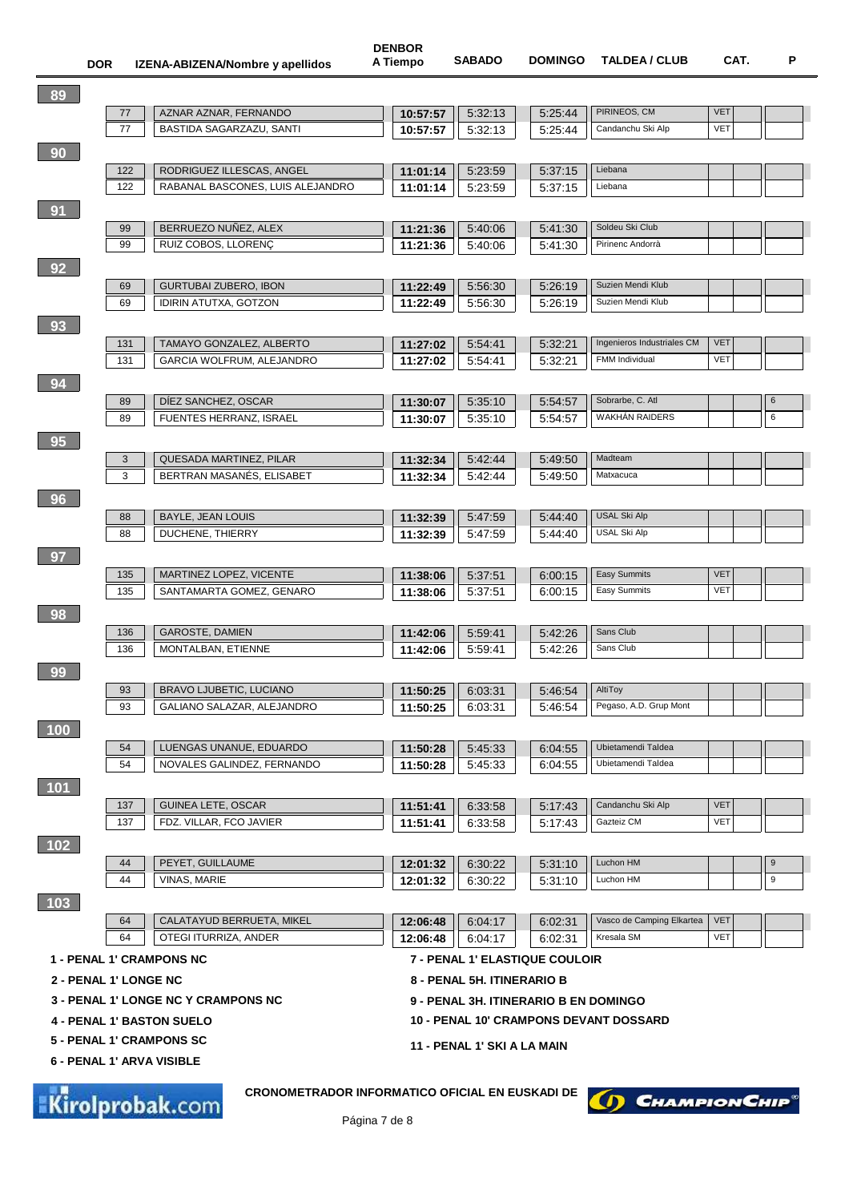| 89                    |     |                                                                           |          |                                       |         |                                               |            |                  |
|-----------------------|-----|---------------------------------------------------------------------------|----------|---------------------------------------|---------|-----------------------------------------------|------------|------------------|
|                       | 77  | AZNAR AZNAR, FERNANDO                                                     | 10:57:57 | 5:32:13                               | 5:25:44 | PIRINEOS, CM                                  | <b>VET</b> |                  |
|                       | 77  | BASTIDA SAGARZAZU, SANTI                                                  | 10:57:57 | 5:32:13                               | 5:25:44 | Candanchu Ski Alp                             | <b>VET</b> |                  |
| 90                    |     |                                                                           |          |                                       |         |                                               |            |                  |
|                       | 122 | RODRIGUEZ ILLESCAS, ANGEL                                                 | 11:01:14 | 5:23:59                               | 5:37:15 | Liebana                                       |            |                  |
|                       | 122 | RABANAL BASCONES, LUIS ALEJANDRO                                          | 11:01:14 | 5:23:59                               | 5:37:15 | Liebana                                       |            |                  |
| 91                    |     |                                                                           |          |                                       |         |                                               |            |                  |
|                       | 99  | BERRUEZO NUÑEZ, ALEX                                                      | 11:21:36 | 5:40:06                               | 5:41:30 | Soldeu Ski Club                               |            |                  |
|                       | 99  | RUIZ COBOS, LLORENÇ                                                       | 11:21:36 | 5:40:06                               | 5:41:30 | Pirinenc Andorrà                              |            |                  |
| 92                    |     |                                                                           |          |                                       |         |                                               |            |                  |
|                       | 69  | <b>GURTUBAI ZUBERO, IBON</b>                                              | 11:22:49 | 5:56:30                               | 5:26:19 | Suzien Mendi Klub                             |            |                  |
|                       | 69  | <b>IDIRIN ATUTXA, GOTZON</b>                                              | 11:22:49 | 5:56:30                               | 5:26:19 | Suzien Mendi Klub                             |            |                  |
| 93                    |     |                                                                           |          |                                       |         |                                               |            |                  |
|                       | 131 | TAMAYO GONZALEZ, ALBERTO                                                  | 11:27:02 | 5.54.41                               | 5:32:21 | Ingenieros Industriales CM                    | <b>VET</b> |                  |
|                       | 131 | GARCIA WOLFRUM, ALEJANDRO                                                 | 11:27:02 | 5:54:41                               | 5:32:21 | FMM Individual                                | <b>VET</b> |                  |
| 94                    |     |                                                                           |          |                                       |         |                                               |            |                  |
|                       | 89  | DIEZ SANCHEZ, OSCAR                                                       | 11:30:07 | 5:35:10                               | 5:54:57 | Sobrarbe, C. Atl                              |            | 6                |
|                       | 89  | FUENTES HERRANZ, ISRAEL                                                   | 11:30:07 | 5:35:10                               | 5:54:57 | <b>WAKHÁN RAIDERS</b>                         |            | 6                |
| 95                    |     |                                                                           |          |                                       |         |                                               |            |                  |
|                       | 3   | QUESADA MARTINEZ, PILAR                                                   | 11:32:34 | 5.42.44                               | 5:49:50 | Madteam                                       |            |                  |
|                       | 3   | BERTRAN MASANÉS, ELISABET                                                 | 11:32:34 | 5:42:44                               | 5:49:50 | Matxacuca                                     |            |                  |
| 96                    |     |                                                                           |          |                                       |         |                                               |            |                  |
|                       | 88  | <b>BAYLE, JEAN LOUIS</b>                                                  | 11:32:39 | 5:47:59                               | 5:44:40 | <b>USAL Ski Alp</b>                           |            |                  |
|                       | 88  | DUCHENE, THIERRY                                                          | 11:32:39 | 5:47:59                               | 5:44:40 | <b>USAL Ski Alp</b>                           |            |                  |
| 97                    |     |                                                                           |          |                                       |         |                                               |            |                  |
|                       | 135 | MARTINEZ LOPEZ, VICENTE                                                   | 11:38:06 | 5:37:51                               | 6:00:15 | Easy Summits                                  | <b>VET</b> |                  |
|                       | 135 | SANTAMARTA GOMEZ, GENARO                                                  | 11:38:06 | 5:37:51                               | 6:00:15 | Easy Summits                                  | <b>VET</b> |                  |
| 98                    |     |                                                                           |          |                                       |         |                                               |            |                  |
|                       | 136 | <b>GAROSTE, DAMIEN</b>                                                    | 11:42:06 | 5.59.41                               | 5:42:26 | Sans Club                                     |            |                  |
|                       | 136 | MONTALBAN, ETIENNE                                                        | 11:42:06 | 5:59:41                               | 5:42:26 | Sans Club                                     |            |                  |
| 99                    |     |                                                                           |          |                                       |         |                                               |            |                  |
|                       | 93  | <b>BRAVO LJUBETIC, LUCIANO</b>                                            | 11:50:25 | 6:03:31                               | 5:46:54 | AltiToy                                       |            |                  |
|                       | 93  | GALIANO SALAZAR, ALEJANDRO                                                | 11:50:25 | 6:03:31                               | 5.46.54 | Pegaso, A.D. Grup Mont                        |            |                  |
| 100                   |     |                                                                           |          |                                       |         |                                               |            |                  |
|                       | 54  | LUENGAS UNANUE, EDUARDO                                                   | 11:50:28 | 5:45:33                               | 6:04:55 | Ubietamendi Taldea                            |            |                  |
|                       | 54  | NOVALES GALINDEZ, FERNANDO                                                | 11:50:28 | 5:45:33                               | 6:04:55 | Ubietamendi Taldea                            |            |                  |
| 101                   |     |                                                                           |          |                                       |         |                                               |            |                  |
|                       | 137 | <b>GUINEA LETE, OSCAR</b>                                                 | 11:51:41 | 6:33:58                               | 5:17:43 | Candanchu Ski Alp                             | <b>VET</b> |                  |
|                       | 137 | FDZ. VILLAR, FCO JAVIER                                                   | 11:51:41 | 6:33:58                               | 5:17:43 | Gazteiz CM                                    | <b>VET</b> |                  |
| 102                   |     |                                                                           |          |                                       |         |                                               |            |                  |
|                       | 44  | PEYET, GUILLAUME                                                          | 12:01:32 | 6:30:22                               | 5:31:10 | Luchon HM                                     |            | 9                |
|                       | 44  | VINAS, MARIE                                                              | 12:01:32 | 6:30:22                               | 5:31:10 | Luchon HM                                     |            | $\boldsymbol{9}$ |
| 103                   |     |                                                                           |          |                                       |         |                                               |            |                  |
|                       | 64  | CALATAYUD BERRUETA, MIKEL                                                 | 12:06:48 | 6:04:17                               | 6:02:31 | Vasco de Camping Elkartea                     | <b>VET</b> |                  |
|                       | 64  | OTEGI ITURRIZA, ANDER                                                     | 12:06:48 | 6:04:17                               | 6:02:31 | Kresala SM                                    | <b>VET</b> |                  |
|                       |     | <b>1 - PENAL 1' CRAMPONS NC</b>                                           |          | <b>7 - PENAL 1' ELASTIQUE COULOIR</b> |         |                                               |            |                  |
| 2 - PENAL 1' LONGE NC |     |                                                                           |          | 8 - PENAL 5H. ITINERARIO B            |         |                                               |            |                  |
|                       |     | <b>3 - PENAL 1' LONGE NC Y CRAMPONS NC</b>                                |          | 9 - PENAL 3H. ITINERARIO B EN DOMINGO |         |                                               |            |                  |
|                       |     | <b>4 - PENAL 1' BASTON SUELO</b>                                          |          |                                       |         | <b>10 - PENAL 10' CRAMPONS DEVANT DOSSARD</b> |            |                  |
|                       |     | <b>5 - PENAL 1' CRAMPONS SC</b>                                           |          |                                       |         |                                               |            |                  |
|                       |     |                                                                           |          | 11 - PENAL 1' SKI A LA MAIN           |         |                                               |            |                  |
|                       |     | 6 - PENAL 1' ARVA VISIBLE                                                 |          |                                       |         |                                               |            |                  |
|                       |     | <b>CRONOMETRADOR INFORMATICO OFICIAL EN EUSKADI DE</b><br>Kirolprobak.com |          |                                       |         | D CHAMPION CHIP                               |            |                  |